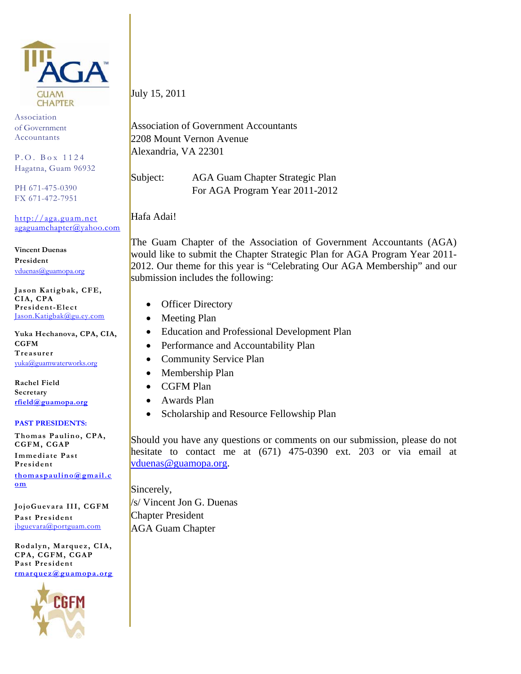

Association of Government Accountants

P.O. Box 1124 Hagatna, Guam 96932

PH 671-475-0390 FX 671-472-7951

http://aga.guam.net agaguamchapter@yahoo.com

**Vincent Duenas President**  vduenas@guamopa.org

**Jason Katigbak, CFE, CIA, CPA President-Elect**  Jason.Katigbak@gu.ey.com

**Yuka Hechanova, CPA, CIA, CGFM** 

**Treasurer**  yuka@guamwaterworks.org

**Rachel Field Secretary rfield@guamopa.org**

#### **PAST PRESIDENTS:**

**Thomas Paulino, CPA, CGFM, CGAP** 

**Immediate Past President** 

**thomaspaulino@gmail.c om**

**JojoGuevara III, CGFM Past President**  jbguevara@portguam.com

**Rodalyn, Marquez, CIA, CPA, CGFM, CGAP Past President rmarquez@guamopa.org**



July 15, 2011

Association of Government Accountants 2208 Mount Vernon Avenue Alexandria, VA 22301

Subject: AGA Guam Chapter Strategic Plan For AGA Program Year 2011-2012

Hafa Adai!

The Guam Chapter of the Association of Government Accountants (AGA) would like to submit the Chapter Strategic Plan for AGA Program Year 2011- 2012. Our theme for this year is "Celebrating Our AGA Membership" and our submission includes the following:

- Officer Directory
- Meeting Plan
- Education and Professional Development Plan
- Performance and Accountability Plan
- Community Service Plan
- Membership Plan
- CGFM Plan
- Awards Plan
- Scholarship and Resource Fellowship Plan

Should you have any questions or comments on our submission, please do not hesitate to contact me at (671) 475-0390 ext. 203 or via email at vduenas@guamopa.org.

Sincerely, /s/ Vincent Jon G. Duenas Chapter President AGA Guam Chapter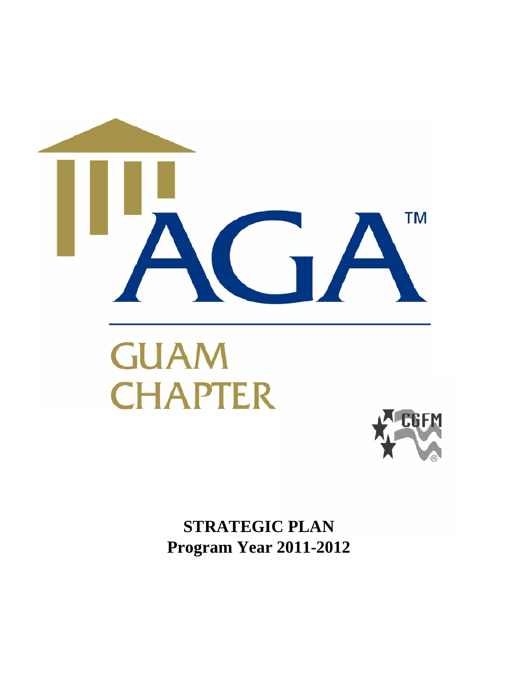

**STRATEGIC PLAN Program Year 2011-2012**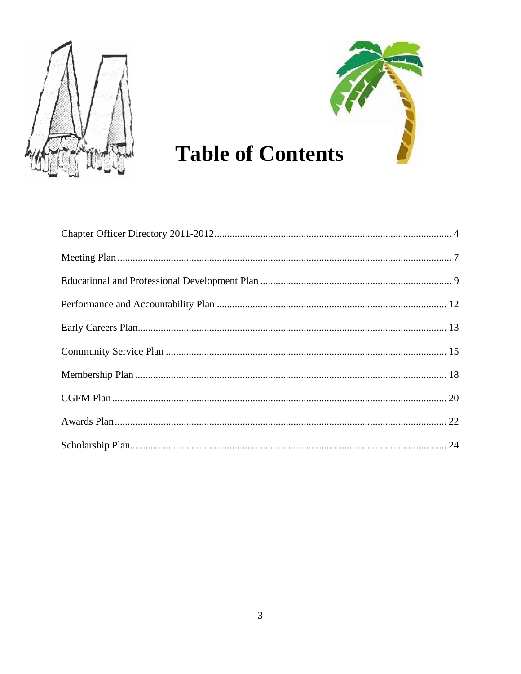



# **Table of Contents**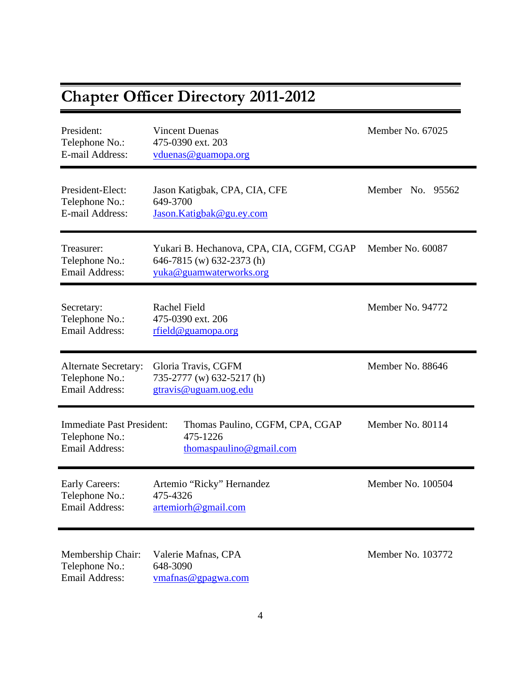| <b>Chapter Officer Directory 2011-2012</b>                                  |                                                                                                   |                   |
|-----------------------------------------------------------------------------|---------------------------------------------------------------------------------------------------|-------------------|
| President:<br>Telephone No.:<br>E-mail Address:                             | <b>Vincent Duenas</b><br>475-0390 ext. 203<br>vduenas@guamopa.org                                 | Member No. 67025  |
| President-Elect:<br>Telephone No.:<br>E-mail Address:                       | Jason Katigbak, CPA, CIA, CFE<br>649-3700<br>Jason.Katigbak@gu.ey.com                             | Member No. 95562  |
| Treasurer:<br>Telephone No.:<br><b>Email Address:</b>                       | Yukari B. Hechanova, CPA, CIA, CGFM, CGAP<br>646-7815 (w) 632-2373 (h)<br>yuka@guamwaterworks.org | Member No. 60087  |
| Secretary:<br>Telephone No.:<br><b>Email Address:</b>                       | Rachel Field<br>475-0390 ext. 206<br>rfield@guamopa.org                                           | Member No. 94772  |
| <b>Alternate Secretary:</b><br>Telephone No.:<br><b>Email Address:</b>      | Gloria Travis, CGFM<br>735-2777 (w) 632-5217 (h)<br>gtravis@uguam.uog.edu                         | Member No. 88646  |
| <b>Immediate Past President:</b><br>Telephone No.:<br><b>Email Address:</b> | Thomas Paulino, CGFM, CPA, CGAP<br>475-1226<br>thomaspaulino@gmail.com                            | Member No. 80114  |
| <b>Early Careers:</b><br>Telephone No.:<br><b>Email Address:</b>            | Artemio "Ricky" Hernandez<br>475-4326<br>artemiorh@gmail.com                                      | Member No. 100504 |
| Membership Chair:<br>Telephone No.:<br>Email Address:                       | Valerie Mafnas, CPA<br>648-3090<br>vmafnas@gpagwa.com                                             | Member No. 103772 |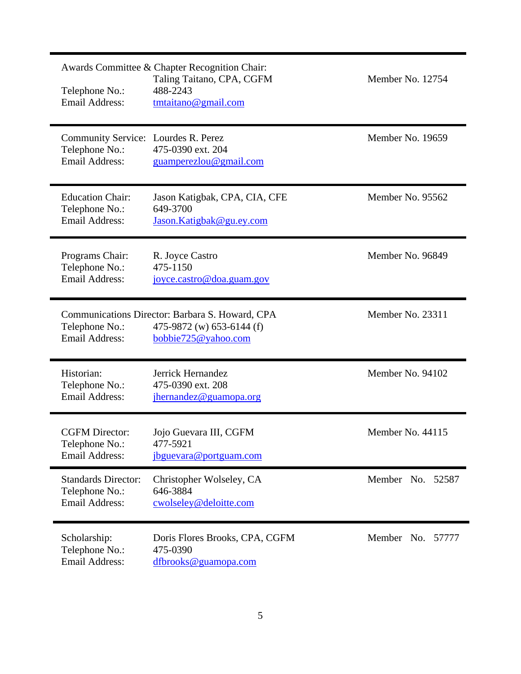| Telephone No.:<br><b>Email Address:</b>                                        | Awards Committee & Chapter Recognition Chair:<br>Taling Taitano, CPA, CGFM<br>488-2243<br>tmtaitano@gmail.com | Member No. 12754    |
|--------------------------------------------------------------------------------|---------------------------------------------------------------------------------------------------------------|---------------------|
| Community Service: Lourdes R. Perez<br>Telephone No.:<br><b>Email Address:</b> | 475-0390 ext. 204<br>guamperezlou@gmail.com                                                                   | Member No. 19659    |
| <b>Education Chair:</b><br>Telephone No.:<br><b>Email Address:</b>             | Jason Katigbak, CPA, CIA, CFE<br>649-3700<br>Jason.Katigbak@gu.ey.com                                         | Member No. 95562    |
| Programs Chair:<br>Telephone No.:<br><b>Email Address:</b>                     | R. Joyce Castro<br>475-1150<br>joyce.castro@doa.guam.gov                                                      | Member No. 96849    |
| Telephone No.:<br><b>Email Address:</b>                                        | Communications Director: Barbara S. Howard, CPA<br>475-9872 (w) 653-6144 (f)<br>bobbie725@yahoo.com           | Member No. 23311    |
| Historian:<br>Telephone No.:<br><b>Email Address:</b>                          | Jerrick Hernandez<br>475-0390 ext. 208<br>jhernandez@guamopa.org                                              | Member No. 94102    |
| <b>CGFM</b> Director:<br>Telephone No.:<br><b>Email Address:</b>               | Jojo Guevara III, CGFM<br>477-5921<br>jbguevara@portguam.com                                                  | Member No. 44115    |
| <b>Standards Director:</b><br>Telephone No.:<br><b>Email Address:</b>          | Christopher Wolseley, CA<br>646-3884<br>cwolseley@deloitte.com                                                | Member No. 52587    |
| Scholarship:<br>Telephone No.:<br><b>Email Address:</b>                        | Doris Flores Brooks, CPA, CGFM<br>475-0390<br>dfbrooks@guamopa.com                                            | Member No.<br>57777 |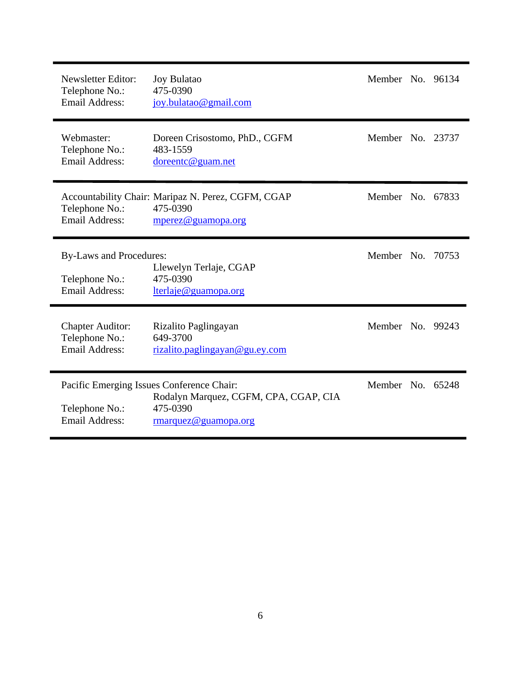| <b>Newsletter Editor:</b><br>Telephone No.:<br>Email Address:             | <b>Joy Bulatao</b><br>475-0390<br>joy.bulatao@gmail.com                                                                | Member No. 96134 |  |
|---------------------------------------------------------------------------|------------------------------------------------------------------------------------------------------------------------|------------------|--|
| Webmaster:<br>Telephone No.:<br><b>Email Address:</b>                     | Doreen Crisostomo, PhD., CGFM<br>483-1559<br>doreentc@guam.net                                                         | Member No. 23737 |  |
| Telephone No.:<br><b>Email Address:</b>                                   | Accountability Chair: Maripaz N. Perez, CGFM, CGAP<br>475-0390<br>mperez@guamopa.org                                   | Member No. 67833 |  |
| <b>By-Laws and Procedures:</b><br>Telephone No.:<br><b>Email Address:</b> | Llewelyn Terlaje, CGAP<br>475-0390<br>lterlaje@guamopa.org                                                             | Member No. 70753 |  |
| <b>Chapter Auditor:</b><br>Telephone No.:<br><b>Email Address:</b>        | Rizalito Paglingayan<br>649-3700<br>rizalito.paglingayan@gu.ey.com                                                     | Member No. 99243 |  |
| Telephone No.:<br><b>Email Address:</b>                                   | Pacific Emerging Issues Conference Chair:<br>Rodalyn Marquez, CGFM, CPA, CGAP, CIA<br>475-0390<br>rmarquez@guamopa.org | Member No. 65248 |  |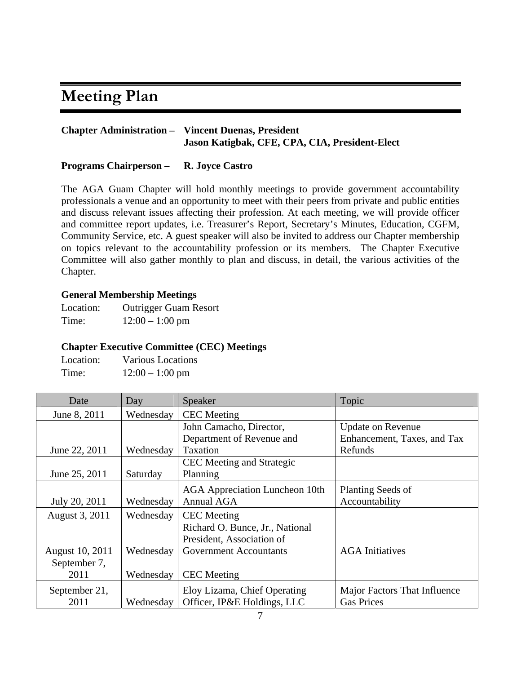# **Meeting Plan**

# **Chapter Administration – Vincent Duenas, President Jason Katigbak, CFE, CPA, CIA, President-Elect**

### **Programs Chairperson – R. Joyce Castro**

The AGA Guam Chapter will hold monthly meetings to provide government accountability professionals a venue and an opportunity to meet with their peers from private and public entities and discuss relevant issues affecting their profession. At each meeting, we will provide officer and committee report updates, i.e. Treasurer's Report, Secretary's Minutes, Education, CGFM, Community Service, etc. A guest speaker will also be invited to address our Chapter membership on topics relevant to the accountability profession or its members. The Chapter Executive Committee will also gather monthly to plan and discuss, in detail, the various activities of the Chapter.

# **General Membership Meetings**

Location: Outrigger Guam Resort Time: 12:00 – 1:00 pm

# **Chapter Executive Committee (CEC) Meetings**

| Location: | <b>Various Locations</b> |
|-----------|--------------------------|
| Time:     | $12:00 - 1:00$ pm        |

| Date            | Day       | Speaker                               | Topic                        |
|-----------------|-----------|---------------------------------------|------------------------------|
| June 8, 2011    | Wednesday | <b>CEC</b> Meeting                    |                              |
|                 |           | John Camacho, Director,               | <b>Update on Revenue</b>     |
|                 |           | Department of Revenue and             | Enhancement, Taxes, and Tax  |
| June 22, 2011   | Wednesday | Taxation                              | Refunds                      |
|                 |           | CEC Meeting and Strategic             |                              |
| June 25, 2011   | Saturday  | Planning                              |                              |
|                 |           | <b>AGA</b> Appreciation Luncheon 10th | Planting Seeds of            |
| July 20, 2011   | Wednesday | Annual AGA                            | Accountability               |
| August 3, 2011  | Wednesday | <b>CEC</b> Meeting                    |                              |
|                 |           | Richard O. Bunce, Jr., National       |                              |
|                 |           | President, Association of             |                              |
| August 10, 2011 | Wednesday | <b>Government Accountants</b>         | <b>AGA</b> Initiatives       |
| September 7,    |           |                                       |                              |
| 2011            | Wednesday | <b>CEC</b> Meeting                    |                              |
| September 21,   |           | Eloy Lizama, Chief Operating          | Major Factors That Influence |
| 2011            | Wednesday | Officer, IP&E Holdings, LLC           | <b>Gas Prices</b>            |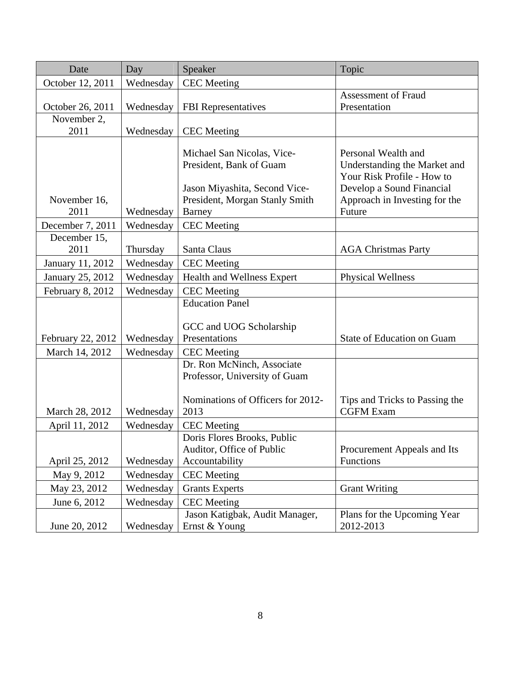| Date              | Day       | Speaker                           | Topic                          |
|-------------------|-----------|-----------------------------------|--------------------------------|
| October 12, 2011  | Wednesday | <b>CEC</b> Meeting                |                                |
|                   |           |                                   | <b>Assessment of Fraud</b>     |
| October 26, 2011  | Wednesday | <b>FBI</b> Representatives        | Presentation                   |
| November 2,       |           |                                   |                                |
| 2011              | Wednesday | <b>CEC</b> Meeting                |                                |
|                   |           | Michael San Nicolas, Vice-        | Personal Wealth and            |
|                   |           | President, Bank of Guam           | Understanding the Market and   |
|                   |           |                                   | Your Risk Profile - How to     |
|                   |           | Jason Miyashita, Second Vice-     | Develop a Sound Financial      |
| November 16,      |           | President, Morgan Stanly Smith    | Approach in Investing for the  |
| 2011              | Wednesday | <b>Barney</b>                     | Future                         |
| December 7, 2011  | Wednesday | <b>CEC</b> Meeting                |                                |
| December 15,      |           |                                   |                                |
| 2011              | Thursday  | Santa Claus                       | <b>AGA Christmas Party</b>     |
| January 11, 2012  | Wednesday | <b>CEC</b> Meeting                |                                |
| January 25, 2012  | Wednesday | Health and Wellness Expert        | Physical Wellness              |
| February 8, 2012  | Wednesday | <b>CEC</b> Meeting                |                                |
|                   |           | <b>Education Panel</b>            |                                |
|                   |           |                                   |                                |
|                   |           | GCC and UOG Scholarship           |                                |
| February 22, 2012 | Wednesday | Presentations                     | State of Education on Guam     |
| March 14, 2012    | Wednesday | <b>CEC</b> Meeting                |                                |
|                   |           | Dr. Ron McNinch, Associate        |                                |
|                   |           | Professor, University of Guam     |                                |
|                   |           | Nominations of Officers for 2012- | Tips and Tricks to Passing the |
| March 28, 2012    | Wednesday | 2013                              | <b>CGFM Exam</b>               |
| April 11, 2012    | Wednesday | <b>CEC</b> Meeting                |                                |
|                   |           | Doris Flores Brooks, Public       |                                |
|                   |           | Auditor, Office of Public         | Procurement Appeals and Its    |
| April 25, 2012    | Wednesday | Accountability                    | Functions                      |
| May 9, 2012       | Wednesday | <b>CEC</b> Meeting                |                                |
| May 23, 2012      | Wednesday | <b>Grants Experts</b>             | <b>Grant Writing</b>           |
| June 6, 2012      | Wednesday | <b>CEC</b> Meeting                |                                |
|                   |           | Jason Katigbak, Audit Manager,    | Plans for the Upcoming Year    |
| June 20, 2012     | Wednesday | Ernst & Young                     | 2012-2013                      |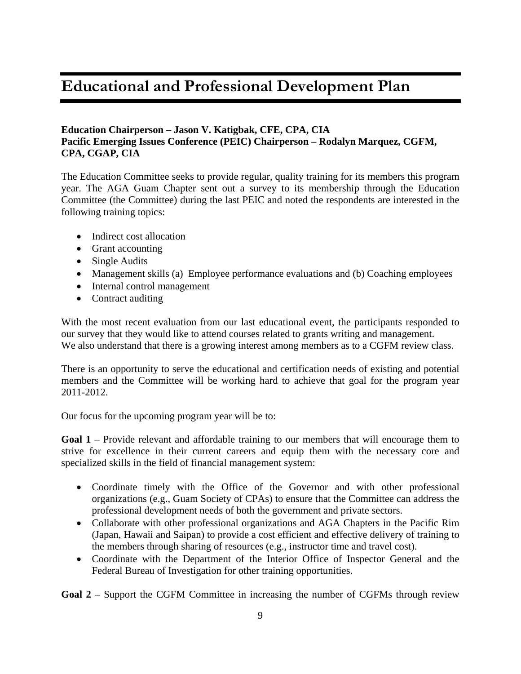# **Educational and Professional Development Plan**

### **Education Chairperson – Jason V. Katigbak, CFE, CPA, CIA Pacific Emerging Issues Conference (PEIC) Chairperson – Rodalyn Marquez, CGFM, CPA, CGAP, CIA**

The Education Committee seeks to provide regular, quality training for its members this program year. The AGA Guam Chapter sent out a survey to its membership through the Education Committee (the Committee) during the last PEIC and noted the respondents are interested in the following training topics:

- Indirect cost allocation
- Grant accounting
- Single Audits
- Management skills (a) Employee performance evaluations and (b) Coaching employees
- Internal control management
- Contract auditing

With the most recent evaluation from our last educational event, the participants responded to our survey that they would like to attend courses related to grants writing and management. We also understand that there is a growing interest among members as to a CGFM review class.

There is an opportunity to serve the educational and certification needs of existing and potential members and the Committee will be working hard to achieve that goal for the program year 2011-2012.

Our focus for the upcoming program year will be to:

**Goal 1** – Provide relevant and affordable training to our members that will encourage them to strive for excellence in their current careers and equip them with the necessary core and specialized skills in the field of financial management system:

- Coordinate timely with the Office of the Governor and with other professional organizations (e.g., Guam Society of CPAs) to ensure that the Committee can address the professional development needs of both the government and private sectors.
- Collaborate with other professional organizations and AGA Chapters in the Pacific Rim (Japan, Hawaii and Saipan) to provide a cost efficient and effective delivery of training to the members through sharing of resources (e.g., instructor time and travel cost).
- Coordinate with the Department of the Interior Office of Inspector General and the Federal Bureau of Investigation for other training opportunities.

**Goal 2** – Support the CGFM Committee in increasing the number of CGFMs through review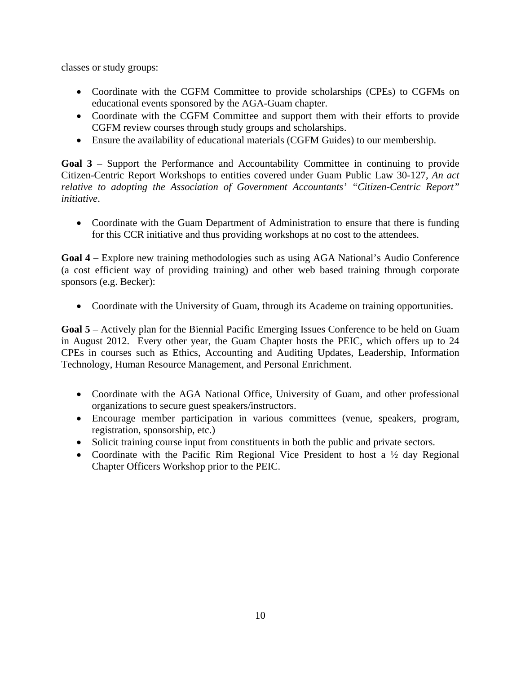classes or study groups:

- Coordinate with the CGFM Committee to provide scholarships (CPEs) to CGFMs on educational events sponsored by the AGA-Guam chapter.
- Coordinate with the CGFM Committee and support them with their efforts to provide CGFM review courses through study groups and scholarships.
- Ensure the availability of educational materials (CGFM Guides) to our membership.

**Goal 3** – Support the Performance and Accountability Committee in continuing to provide Citizen-Centric Report Workshops to entities covered under Guam Public Law 30-127, *An act relative to adopting the Association of Government Accountants' "Citizen-Centric Report" initiative*.

• Coordinate with the Guam Department of Administration to ensure that there is funding for this CCR initiative and thus providing workshops at no cost to the attendees.

**Goal 4** – Explore new training methodologies such as using AGA National's Audio Conference (a cost efficient way of providing training) and other web based training through corporate sponsors (e.g. Becker):

• Coordinate with the University of Guam, through its Academe on training opportunities.

**Goal 5** – Actively plan for the Biennial Pacific Emerging Issues Conference to be held on Guam in August 2012. Every other year, the Guam Chapter hosts the PEIC, which offers up to 24 CPEs in courses such as Ethics, Accounting and Auditing Updates, Leadership, Information Technology, Human Resource Management, and Personal Enrichment.

- Coordinate with the AGA National Office, University of Guam, and other professional organizations to secure guest speakers/instructors.
- Encourage member participation in various committees (venue, speakers, program, registration, sponsorship, etc.)
- Solicit training course input from constituents in both the public and private sectors.
- Coordinate with the Pacific Rim Regional Vice President to host a  $\frac{1}{2}$  day Regional Chapter Officers Workshop prior to the PEIC.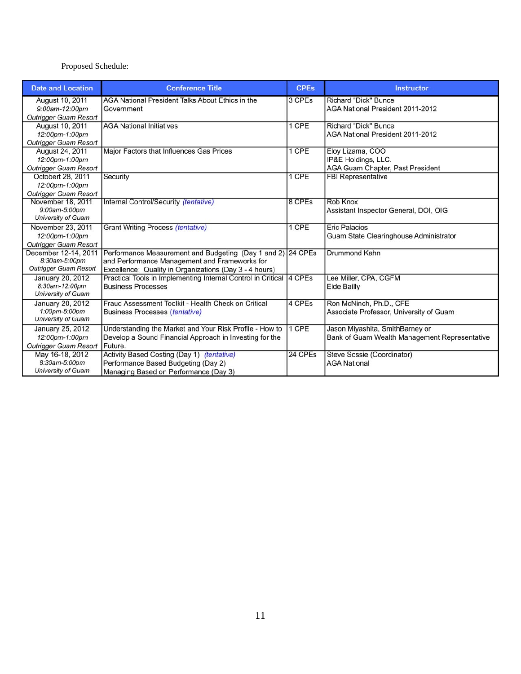#### Proposed Schedule:

| <b>Date and Location</b>                | <b>Conference Title</b>                                      | <b>CPEs</b> | <b>Instructor</b>                             |
|-----------------------------------------|--------------------------------------------------------------|-------------|-----------------------------------------------|
| August 10, 2011                         | AGA National President Talks About Ethics in the             | 3 CPEs      | <b>Richard "Dick" Bunce</b>                   |
| 9:00am-12:00pm<br>Outrigger Guam Resort | Government                                                   |             | AGA National President 2011-2012              |
| August 10, 2011                         | <b>AGA National Initiatives</b>                              | 1 CPE       | <b>Richard "Dick" Bunce</b>                   |
| 12:00pm-1:00pm                          |                                                              |             | AGA National President 2011-2012              |
| <b>Outrigger Guam Resort</b>            |                                                              |             |                                               |
| August 24, 2011                         | Major Factors that Influences Gas Prices                     | 1 CPE       | Eloy Lizama, COO                              |
| 12:00pm-1:00pm                          |                                                              |             | IP&E Holdings, LLC.                           |
| Outrigger Guam Resort                   |                                                              |             | AGA Guam Chapter, Past President              |
| Octobert 28, 2011                       | Security                                                     | 1 CPE       | <b>FBI Representative</b>                     |
| 12:00pm-1:00pm                          |                                                              |             |                                               |
| Outrigger Guam Resort                   |                                                              |             |                                               |
| November 18, 2011                       | Internal Control/Security (tentative)                        | 8 CPEs      | Rob Knox                                      |
| 9:00am-5:00pm<br>University of Guam     |                                                              |             | Assistant Inspector General, DOI, OIG         |
|                                         |                                                              | 1 CPE       | <b>Eric Palacios</b>                          |
| November 23, 2011<br>12:00pm-1:00pm     | Grant Writing Process (tentative)                            |             |                                               |
| <b>Outrigger Guam Resort</b>            |                                                              |             | Guam State Clearinghouse Administrator        |
| December 12-14, 2011                    | Performance Measurement and Budgeting (Day 1 and 2) 24 CPEs  |             | <b>Drummond Kahn</b>                          |
| 8:30am-5:00pm                           | and Performance Management and Frameworks for                |             |                                               |
| <b>Outrigger Guam Resort</b>            | Excellence: Quality in Organizations (Day 3 - 4 hours)       |             |                                               |
| <b>January 20, 2012</b>                 | Practical Tools in Implementing Internal Control in Critical | 4 CPEs      | Lee Miller, CPA, CGFM                         |
| 8:30am-12:00pm                          | <b>Business Processes</b>                                    |             | Eide Bailly                                   |
| <b>University of Guam</b>               |                                                              |             |                                               |
| January 20, 2012                        | Fraud Assessment Toolkit - Health Check on Critical          | 4 CPEs      | Ron McNinch, Ph.D., CFE                       |
| 1:00pm-5:00pm                           | <b>Business Processes (tentative)</b>                        |             | Associate Professor, University of Guam       |
| University of Guam                      |                                                              |             |                                               |
| January 25, 2012                        | Understanding the Market and Your Risk Profile - How to      | 1 CPE       | Jason Miyashita, SmithBarney or               |
| 12:00pm-1:00pm                          | Develop a Sound Financial Approach in Investing for the      |             | Bank of Guam Wealth Management Representative |
| <b>Outrigger Guam Resort</b>            | Future.                                                      |             |                                               |
| May 16-18, 2012                         | Activity Based Costing (Day 1) (tentative)                   | 24 CPEs     | Steve Sossie (Coordinator)                    |
| 8:30am-5:00pm                           | Performance Based Budgeting (Day 2)                          |             | <b>AGA National</b>                           |
| <b>University of Guam</b>               | Managing Based on Performance (Day 3)                        |             |                                               |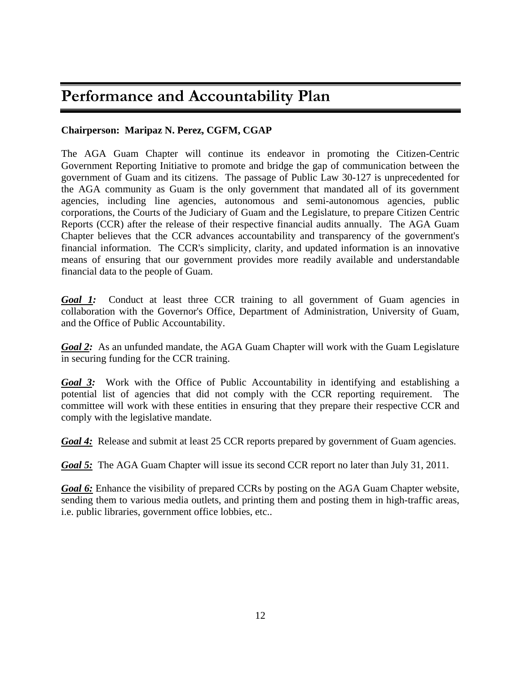# **Performance and Accountability Plan**

# **Chairperson: Maripaz N. Perez, CGFM, CGAP**

The AGA Guam Chapter will continue its endeavor in promoting the Citizen-Centric Government Reporting Initiative to promote and bridge the gap of communication between the government of Guam and its citizens. The passage of Public Law 30-127 is unprecedented for the AGA community as Guam is the only government that mandated all of its government agencies, including line agencies, autonomous and semi-autonomous agencies, public corporations, the Courts of the Judiciary of Guam and the Legislature, to prepare Citizen Centric Reports (CCR) after the release of their respective financial audits annually. The AGA Guam Chapter believes that the CCR advances accountability and transparency of the government's financial information. The CCR's simplicity, clarity, and updated information is an innovative means of ensuring that our government provides more readily available and understandable financial data to the people of Guam.

*Goal 1:* Conduct at least three CCR training to all government of Guam agencies in collaboration with the Governor's Office, Department of Administration, University of Guam, and the Office of Public Accountability.

*Goal 2:* As an unfunded mandate, the AGA Guam Chapter will work with the Guam Legislature in securing funding for the CCR training.

*Goal 3:* Work with the Office of Public Accountability in identifying and establishing a potential list of agencies that did not comply with the CCR reporting requirement. The committee will work with these entities in ensuring that they prepare their respective CCR and comply with the legislative mandate.

*Goal 4:* Release and submit at least 25 CCR reports prepared by government of Guam agencies.

*Goal 5:* The AGA Guam Chapter will issue its second CCR report no later than July 31, 2011.

*Goal 6:* Enhance the visibility of prepared CCRs by posting on the AGA Guam Chapter website, sending them to various media outlets, and printing them and posting them in high-traffic areas, i.e. public libraries, government office lobbies, etc..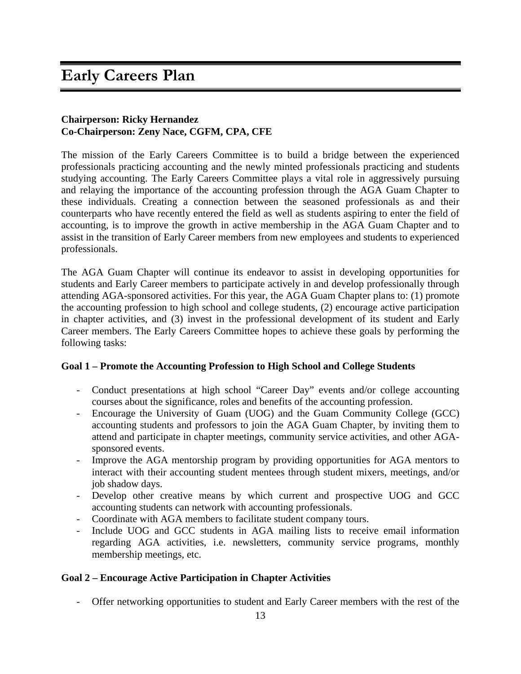# **Early Careers Plan**

#### **Chairperson: Ricky Hernandez Co-Chairperson: Zeny Nace, CGFM, CPA, CFE**

The mission of the Early Careers Committee is to build a bridge between the experienced professionals practicing accounting and the newly minted professionals practicing and students studying accounting. The Early Careers Committee plays a vital role in aggressively pursuing and relaying the importance of the accounting profession through the AGA Guam Chapter to these individuals. Creating a connection between the seasoned professionals as and their counterparts who have recently entered the field as well as students aspiring to enter the field of accounting, is to improve the growth in active membership in the AGA Guam Chapter and to assist in the transition of Early Career members from new employees and students to experienced professionals.

The AGA Guam Chapter will continue its endeavor to assist in developing opportunities for students and Early Career members to participate actively in and develop professionally through attending AGA-sponsored activities. For this year, the AGA Guam Chapter plans to: (1) promote the accounting profession to high school and college students, (2) encourage active participation in chapter activities, and (3) invest in the professional development of its student and Early Career members. The Early Careers Committee hopes to achieve these goals by performing the following tasks:

#### **Goal 1 – Promote the Accounting Profession to High School and College Students**

- Conduct presentations at high school "Career Day" events and/or college accounting courses about the significance, roles and benefits of the accounting profession.
- Encourage the University of Guam (UOG) and the Guam Community College (GCC) accounting students and professors to join the AGA Guam Chapter, by inviting them to attend and participate in chapter meetings, community service activities, and other AGAsponsored events.
- Improve the AGA mentorship program by providing opportunities for AGA mentors to interact with their accounting student mentees through student mixers, meetings, and/or job shadow days.
- Develop other creative means by which current and prospective UOG and GCC accounting students can network with accounting professionals.
- Coordinate with AGA members to facilitate student company tours.
- Include UOG and GCC students in AGA mailing lists to receive email information regarding AGA activities, i.e. newsletters, community service programs, monthly membership meetings, etc.

#### **Goal 2 – Encourage Active Participation in Chapter Activities**

- Offer networking opportunities to student and Early Career members with the rest of the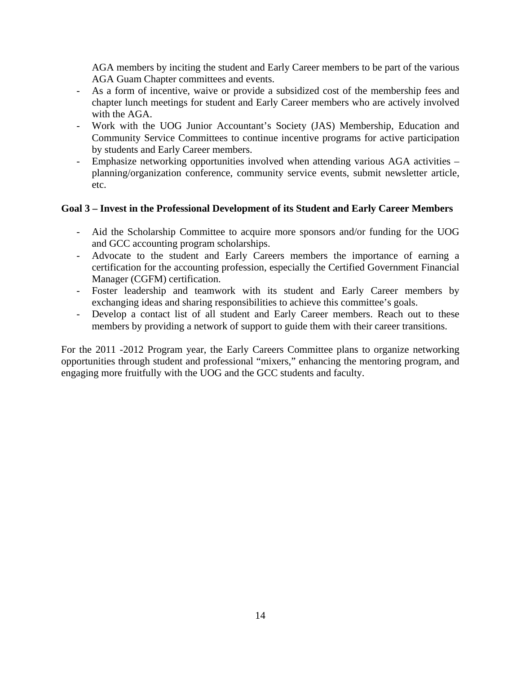AGA members by inciting the student and Early Career members to be part of the various AGA Guam Chapter committees and events.

- As a form of incentive, waive or provide a subsidized cost of the membership fees and chapter lunch meetings for student and Early Career members who are actively involved with the AGA.
- Work with the UOG Junior Accountant's Society (JAS) Membership, Education and Community Service Committees to continue incentive programs for active participation by students and Early Career members.
- Emphasize networking opportunities involved when attending various AGA activities planning/organization conference, community service events, submit newsletter article, etc.

# **Goal 3 – Invest in the Professional Development of its Student and Early Career Members**

- Aid the Scholarship Committee to acquire more sponsors and/or funding for the UOG and GCC accounting program scholarships.
- Advocate to the student and Early Careers members the importance of earning a certification for the accounting profession, especially the Certified Government Financial Manager (CGFM) certification.
- Foster leadership and teamwork with its student and Early Career members by exchanging ideas and sharing responsibilities to achieve this committee's goals.
- Develop a contact list of all student and Early Career members. Reach out to these members by providing a network of support to guide them with their career transitions.

For the 2011 -2012 Program year, the Early Careers Committee plans to organize networking opportunities through student and professional "mixers," enhancing the mentoring program, and engaging more fruitfully with the UOG and the GCC students and faculty.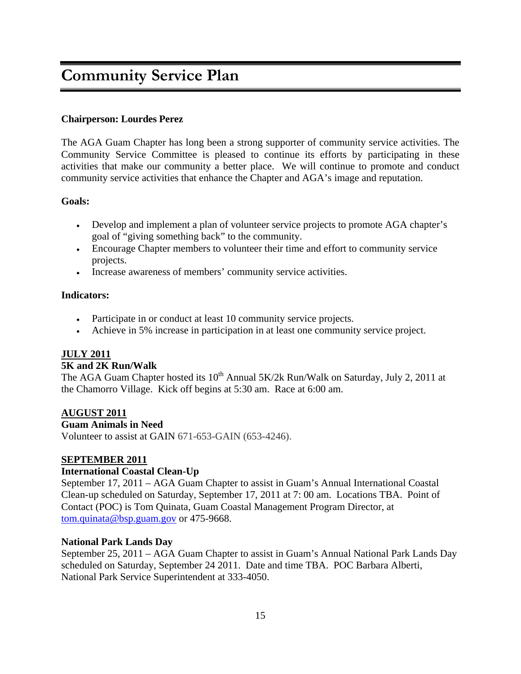# **Community Service Plan**

#### **Chairperson: Lourdes Perez**

The AGA Guam Chapter has long been a strong supporter of community service activities. The Community Service Committee is pleased to continue its efforts by participating in these activities that make our community a better place. We will continue to promote and conduct community service activities that enhance the Chapter and AGA's image and reputation.

#### **Goals:**

- Develop and implement a plan of volunteer service projects to promote AGA chapter's goal of "giving something back" to the community.
- Encourage Chapter members to volunteer their time and effort to community service projects.
- Increase awareness of members' community service activities.

#### **Indicators:**

- Participate in or conduct at least 10 community service projects.
- Achieve in 5% increase in participation in at least one community service project.

#### **JULY 2011**

#### **5K and 2K Run/Walk**

The AGA Guam Chapter hosted its  $10^{th}$  Annual 5K/2k Run/Walk on Saturday, July 2, 2011 at the Chamorro Village. Kick off begins at 5:30 am. Race at 6:00 am.

#### **AUGUST 2011**

#### **Guam Animals in Need**

Volunteer to assist at GAIN 671-653-GAIN (653-4246).

#### **SEPTEMBER 2011**

#### **International Coastal Clean-Up**

September 17, 2011 – AGA Guam Chapter to assist in Guam's Annual International Coastal Clean-up scheduled on Saturday, September 17, 2011 at 7: 00 am. Locations TBA. Point of Contact (POC) is Tom Quinata, Guam Coastal Management Program Director, at tom.quinata@bsp.guam.gov or 475-9668.

#### **National Park Lands Day**

September 25, 2011 – AGA Guam Chapter to assist in Guam's Annual National Park Lands Day scheduled on Saturday, September 24 2011. Date and time TBA. POC Barbara Alberti, National Park Service Superintendent at 333-4050.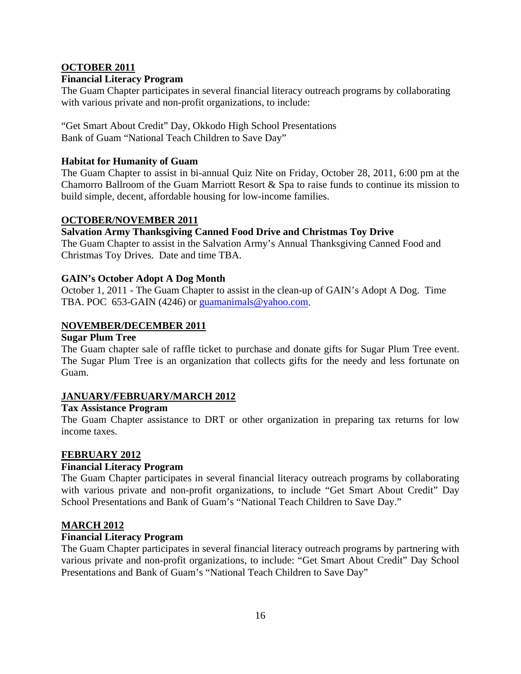# **OCTOBER 2011**

#### **Financial Literacy Program**

The Guam Chapter participates in several financial literacy outreach programs by collaborating with various private and non-profit organizations, to include:

"Get Smart About Credit" Day, Okkodo High School Presentations Bank of Guam "National Teach Children to Save Day"

#### **Habitat for Humanity of Guam**

The Guam Chapter to assist in bi-annual Quiz Nite on Friday, October 28, 2011, 6:00 pm at the Chamorro Ballroom of the Guam Marriott Resort & Spa to raise funds to continue its mission to build simple, decent, affordable housing for low-income families.

#### **OCTOBER/NOVEMBER 2011**

# **Salvation Army Thanksgiving Canned Food Drive and Christmas Toy Drive**

The Guam Chapter to assist in the Salvation Army's Annual Thanksgiving Canned Food and Christmas Toy Drives. Date and time TBA.

#### **GAIN's October Adopt A Dog Month**

October 1, 2011 - The Guam Chapter to assist in the clean-up of GAIN's Adopt A Dog. Time TBA. POC 653-GAIN (4246) or guamanimals@yahoo.com.

#### **NOVEMBER/DECEMBER 2011**

#### **Sugar Plum Tree**

The Guam chapter sale of raffle ticket to purchase and donate gifts for Sugar Plum Tree event. The Sugar Plum Tree is an organization that collects gifts for the needy and less fortunate on Guam.

#### **JANUARY/FEBRUARY/MARCH 2012**

#### **Tax Assistance Program**

The Guam Chapter assistance to DRT or other organization in preparing tax returns for low income taxes.

#### **FEBRUARY 2012**

#### **Financial Literacy Program**

The Guam Chapter participates in several financial literacy outreach programs by collaborating with various private and non-profit organizations, to include "Get Smart About Credit" Day School Presentations and Bank of Guam's "National Teach Children to Save Day."

#### **MARCH 2012**

#### **Financial Literacy Program**

The Guam Chapter participates in several financial literacy outreach programs by partnering with various private and non-profit organizations, to include: "Get Smart About Credit" Day School Presentations and Bank of Guam's "National Teach Children to Save Day"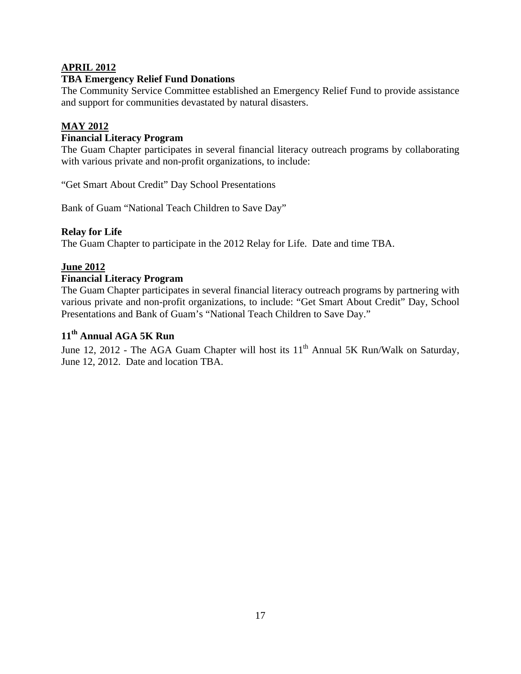# **APRIL 2012**

#### **TBA Emergency Relief Fund Donations**

The Community Service Committee established an Emergency Relief Fund to provide assistance and support for communities devastated by natural disasters.

# **MAY 2012**

### **Financial Literacy Program**

The Guam Chapter participates in several financial literacy outreach programs by collaborating with various private and non-profit organizations, to include:

"Get Smart About Credit" Day School Presentations

Bank of Guam "National Teach Children to Save Day"

#### **Relay for Life**

The Guam Chapter to participate in the 2012 Relay for Life. Date and time TBA.

# **June 2012**

#### **Financial Literacy Program**

The Guam Chapter participates in several financial literacy outreach programs by partnering with various private and non-profit organizations, to include: "Get Smart About Credit" Day, School Presentations and Bank of Guam's "National Teach Children to Save Day."

# **11th Annual AGA 5K Run**

June 12, 2012 - The AGA Guam Chapter will host its  $11<sup>th</sup>$  Annual 5K Run/Walk on Saturday, June 12, 2012. Date and location TBA.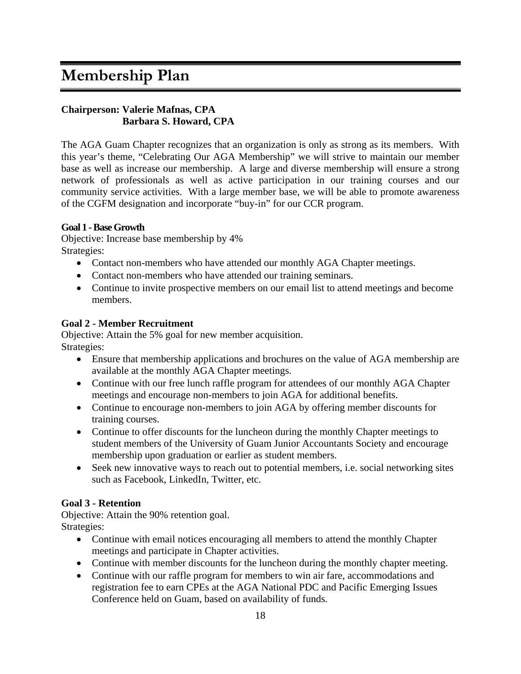# **Membership Plan**

# **Chairperson: Valerie Mafnas, CPA Barbara S. Howard, CPA**

The AGA Guam Chapter recognizes that an organization is only as strong as its members. With this year's theme, "Celebrating Our AGA Membership" we will strive to maintain our member base as well as increase our membership. A large and diverse membership will ensure a strong network of professionals as well as active participation in our training courses and our community service activities. With a large member base, we will be able to promote awareness of the CGFM designation and incorporate "buy-in" for our CCR program.

#### **Goal 1 - Base Growth**

Objective: Increase base membership by 4% Strategies:

- Contact non-members who have attended our monthly AGA Chapter meetings.
- Contact non-members who have attended our training seminars.
- Continue to invite prospective members on our email list to attend meetings and become members.

#### **Goal 2 - Member Recruitment**

Objective: Attain the 5% goal for new member acquisition. Strategies:

- Ensure that membership applications and brochures on the value of AGA membership are available at the monthly AGA Chapter meetings.
- Continue with our free lunch raffle program for attendees of our monthly AGA Chapter meetings and encourage non-members to join AGA for additional benefits.
- Continue to encourage non-members to join AGA by offering member discounts for training courses.
- Continue to offer discounts for the luncheon during the monthly Chapter meetings to student members of the University of Guam Junior Accountants Society and encourage membership upon graduation or earlier as student members.
- Seek new innovative ways to reach out to potential members, i.e. social networking sites such as Facebook, LinkedIn, Twitter, etc.

# **Goal 3 - Retention**

Objective: Attain the 90% retention goal. Strategies:

- Continue with email notices encouraging all members to attend the monthly Chapter meetings and participate in Chapter activities.
- Continue with member discounts for the luncheon during the monthly chapter meeting.
- Continue with our raffle program for members to win air fare, accommodations and registration fee to earn CPEs at the AGA National PDC and Pacific Emerging Issues Conference held on Guam, based on availability of funds.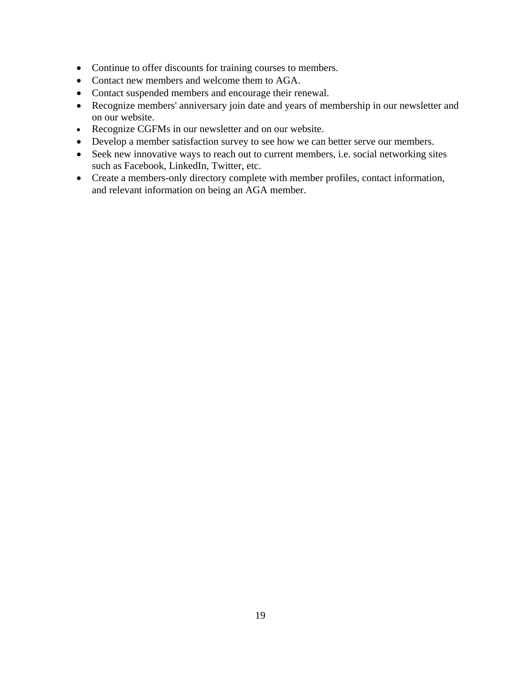- Continue to offer discounts for training courses to members.
- Contact new members and welcome them to AGA.
- Contact suspended members and encourage their renewal.
- Recognize members' anniversary join date and years of membership in our newsletter and on our website.
- Recognize CGFMs in our newsletter and on our website.
- Develop a member satisfaction survey to see how we can better serve our members.
- Seek new innovative ways to reach out to current members, i.e. social networking sites such as Facebook, LinkedIn, Twitter, etc.
- Create a members-only directory complete with member profiles, contact information, and relevant information on being an AGA member.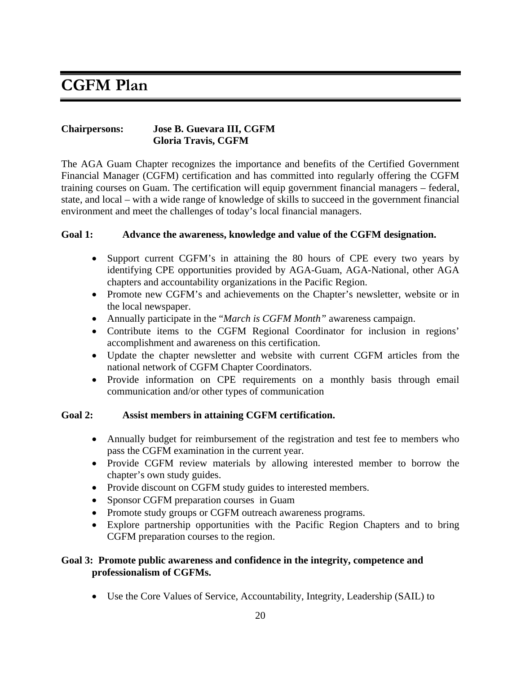# **CGFM Plan**

# **Chairpersons: Jose B. Guevara III, CGFM Gloria Travis, CGFM**

The AGA Guam Chapter recognizes the importance and benefits of the Certified Government Financial Manager (CGFM) certification and has committed into regularly offering the CGFM training courses on Guam. The certification will equip government financial managers – federal, state, and local – with a wide range of knowledge of skills to succeed in the government financial environment and meet the challenges of today's local financial managers.

#### **Goal 1: Advance the awareness, knowledge and value of the CGFM designation.**

- Support current CGFM's in attaining the 80 hours of CPE every two years by identifying CPE opportunities provided by AGA-Guam, AGA-National, other AGA chapters and accountability organizations in the Pacific Region.
- Promote new CGFM's and achievements on the Chapter's newsletter, website or in the local newspaper.
- Annually participate in the "*March is CGFM Month"* awareness campaign.
- Contribute items to the CGFM Regional Coordinator for inclusion in regions' accomplishment and awareness on this certification.
- Update the chapter newsletter and website with current CGFM articles from the national network of CGFM Chapter Coordinators.
- Provide information on CPE requirements on a monthly basis through email communication and/or other types of communication

# **Goal 2: Assist members in attaining CGFM certification.**

- Annually budget for reimbursement of the registration and test fee to members who pass the CGFM examination in the current year.
- Provide CGFM review materials by allowing interested member to borrow the chapter's own study guides.
- Provide discount on CGFM study guides to interested members.
- Sponsor CGFM preparation courses in Guam
- Promote study groups or CGFM outreach awareness programs.
- Explore partnership opportunities with the Pacific Region Chapters and to bring CGFM preparation courses to the region.

# **Goal 3: Promote public awareness and confidence in the integrity, competence and professionalism of CGFMs.**

• Use the Core Values of Service, Accountability, Integrity, Leadership (SAIL) to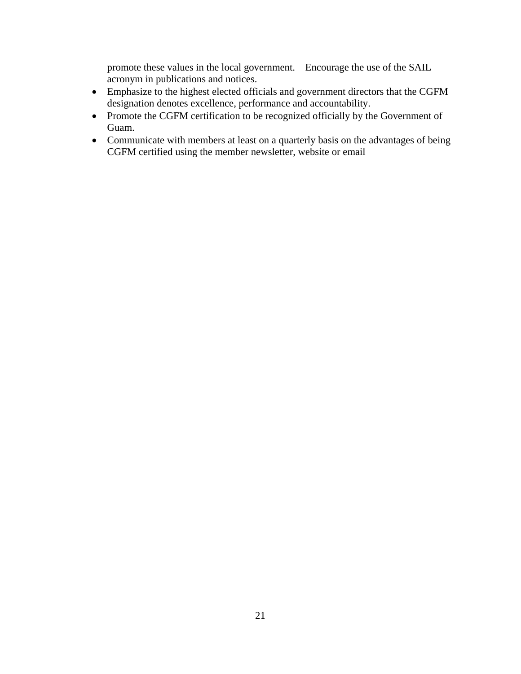promote these values in the local government. Encourage the use of the SAIL acronym in publications and notices.

- Emphasize to the highest elected officials and government directors that the CGFM designation denotes excellence, performance and accountability.
- Promote the CGFM certification to be recognized officially by the Government of Guam.
- Communicate with members at least on a quarterly basis on the advantages of being CGFM certified using the member newsletter, website or email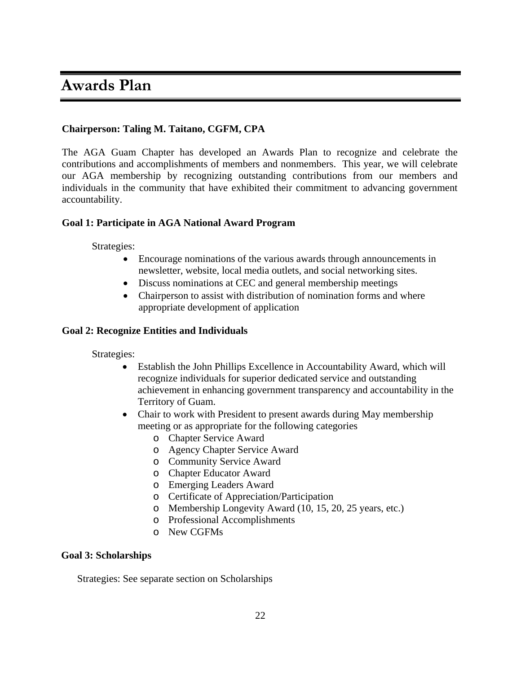# **Awards Plan**

# **Chairperson: Taling M. Taitano, CGFM, CPA**

The AGA Guam Chapter has developed an Awards Plan to recognize and celebrate the contributions and accomplishments of members and nonmembers. This year, we will celebrate our AGA membership by recognizing outstanding contributions from our members and individuals in the community that have exhibited their commitment to advancing government accountability.

#### **Goal 1: Participate in AGA National Award Program**

Strategies:

- Encourage nominations of the various awards through announcements in newsletter, website, local media outlets, and social networking sites.
- Discuss nominations at CEC and general membership meetings
- Chairperson to assist with distribution of nomination forms and where appropriate development of application

#### **Goal 2: Recognize Entities and Individuals**

Strategies:

- Establish the John Phillips Excellence in Accountability Award, which will recognize individuals for superior dedicated service and outstanding achievement in enhancing government transparency and accountability in the Territory of Guam.
- Chair to work with President to present awards during May membership meeting or as appropriate for the following categories
	- o Chapter Service Award
	- o Agency Chapter Service Award
	- o Community Service Award
	- o Chapter Educator Award
	- o Emerging Leaders Award
	- o Certificate of Appreciation/Participation
	- o Membership Longevity Award (10, 15, 20, 25 years, etc.)
	- o Professional Accomplishments
	- o New CGFMs

#### **Goal 3: Scholarships**

Strategies: See separate section on Scholarships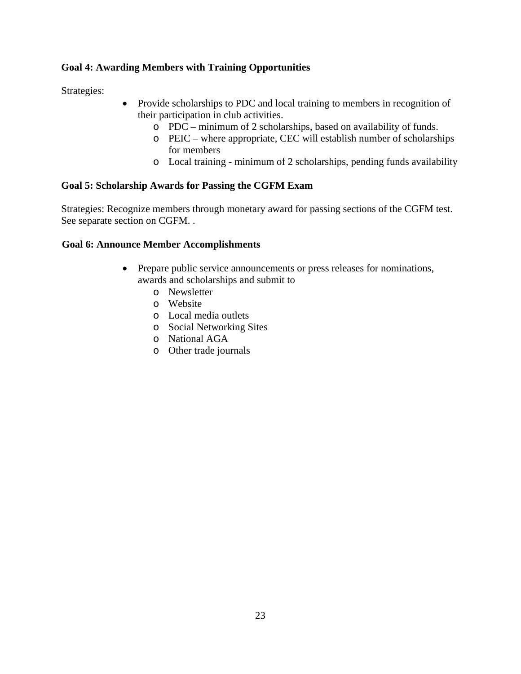# **Goal 4: Awarding Members with Training Opportunities**

Strategies:

- Provide scholarships to PDC and local training to members in recognition of their participation in club activities.
	- o PDC minimum of 2 scholarships, based on availability of funds.
	- o PEIC where appropriate, CEC will establish number of scholarships for members
	- o Local training minimum of 2 scholarships, pending funds availability

# **Goal 5: Scholarship Awards for Passing the CGFM Exam**

Strategies: Recognize members through monetary award for passing sections of the CGFM test. See separate section on CGFM. .

#### **Goal 6: Announce Member Accomplishments**

- Prepare public service announcements or press releases for nominations, awards and scholarships and submit to
	- o Newsletter
	- o Website
	- o Local media outlets
	- o Social Networking Sites
	- o National AGA
	- o Other trade journals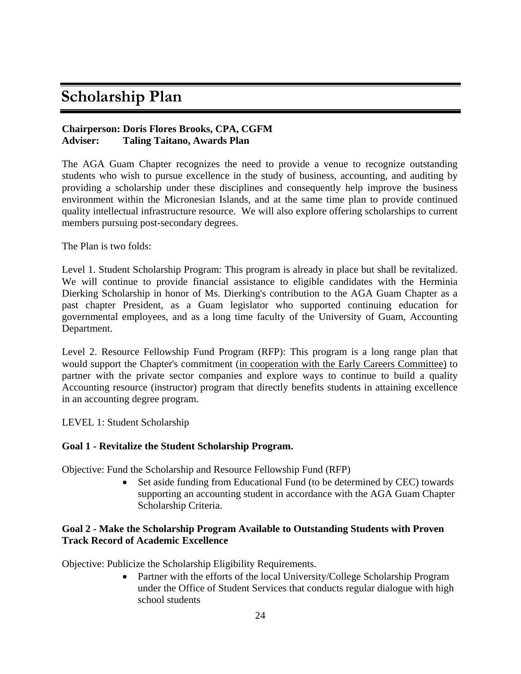# **Scholarship Plan**

# **Chairperson: Doris Flores Brooks, CPA, CGFM Adviser: Taling Taitano, Awards Plan**

The AGA Guam Chapter recognizes the need to provide a venue to recognize outstanding students who wish to pursue excellence in the study of business, accounting, and auditing by providing a scholarship under these disciplines and consequently help improve the business environment within the Micronesian Islands, and at the same time plan to provide continued quality intellectual infrastructure resource. We will also explore offering scholarships to current members pursuing post-secondary degrees.

The Plan is two folds:

Level 1. Student Scholarship Program: This program is already in place but shall be revitalized. We will continue to provide financial assistance to eligible candidates with the Herminia Dierking Scholarship in honor of Ms. Dierking's contribution to the AGA Guam Chapter as a past chapter President, as a Guam legislator who supported continuing education for governmental employees, and as a long time faculty of the University of Guam, Accounting Department.

Level 2. Resource Fellowship Fund Program (RFP): This program is a long range plan that would support the Chapter's commitment (in cooperation with the Early Careers Committee) to partner with the private sector companies and explore ways to continue to build a quality Accounting resource (instructor) program that directly benefits students in attaining excellence in an accounting degree program.

LEVEL 1: Student Scholarship

#### **Goal 1 - Revitalize the Student Scholarship Program.**

Objective: Fund the Scholarship and Resource Fellowship Fund (RFP)

• Set aside funding from Educational Fund (to be determined by CEC) towards supporting an accounting student in accordance with the AGA Guam Chapter Scholarship Criteria.

#### **Goal 2 - Make the Scholarship Program Available to Outstanding Students with Proven Track Record of Academic Excellence**

Objective: Publicize the Scholarship Eligibility Requirements.

• Partner with the efforts of the local University/College Scholarship Program under the Office of Student Services that conducts regular dialogue with high school students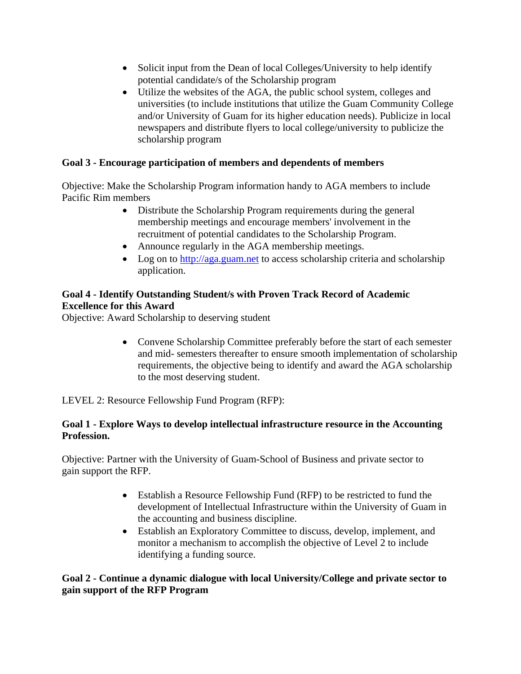- Solicit input from the Dean of local Colleges/University to help identify potential candidate/s of the Scholarship program
- Utilize the websites of the AGA, the public school system, colleges and universities (to include institutions that utilize the Guam Community College and/or University of Guam for its higher education needs). Publicize in local newspapers and distribute flyers to local college/university to publicize the scholarship program

# **Goal 3 - Encourage participation of members and dependents of members**

Objective: Make the Scholarship Program information handy to AGA members to include Pacific Rim members

- Distribute the Scholarship Program requirements during the general membership meetings and encourage members' involvement in the recruitment of potential candidates to the Scholarship Program.
- Announce regularly in the AGA membership meetings.
- Log on to http://aga.guam.net to access scholarship criteria and scholarship application.

# **Goal 4 - Identify Outstanding Student/s with Proven Track Record of Academic Excellence for this Award**

Objective: Award Scholarship to deserving student

• Convene Scholarship Committee preferably before the start of each semester and mid- semesters thereafter to ensure smooth implementation of scholarship requirements, the objective being to identify and award the AGA scholarship to the most deserving student.

LEVEL 2: Resource Fellowship Fund Program (RFP):

# **Goal 1 - Explore Ways to develop intellectual infrastructure resource in the Accounting Profession.**

Objective: Partner with the University of Guam-School of Business and private sector to gain support the RFP.

- Establish a Resource Fellowship Fund (RFP) to be restricted to fund the development of Intellectual Infrastructure within the University of Guam in the accounting and business discipline.
- Establish an Exploratory Committee to discuss, develop, implement, and monitor a mechanism to accomplish the objective of Level 2 to include identifying a funding source.

# **Goal 2 - Continue a dynamic dialogue with local University/College and private sector to gain support of the RFP Program**